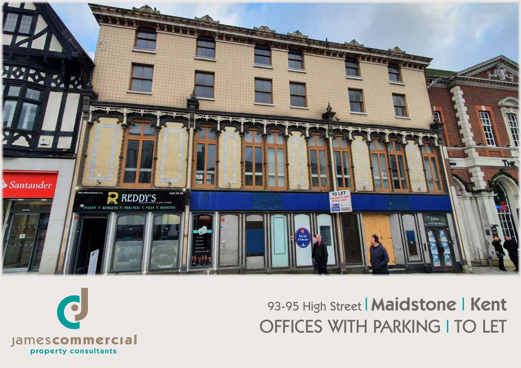



# 93-95 High Street | Maidstone | Kent OFFICES WITH PARKING I TO LET